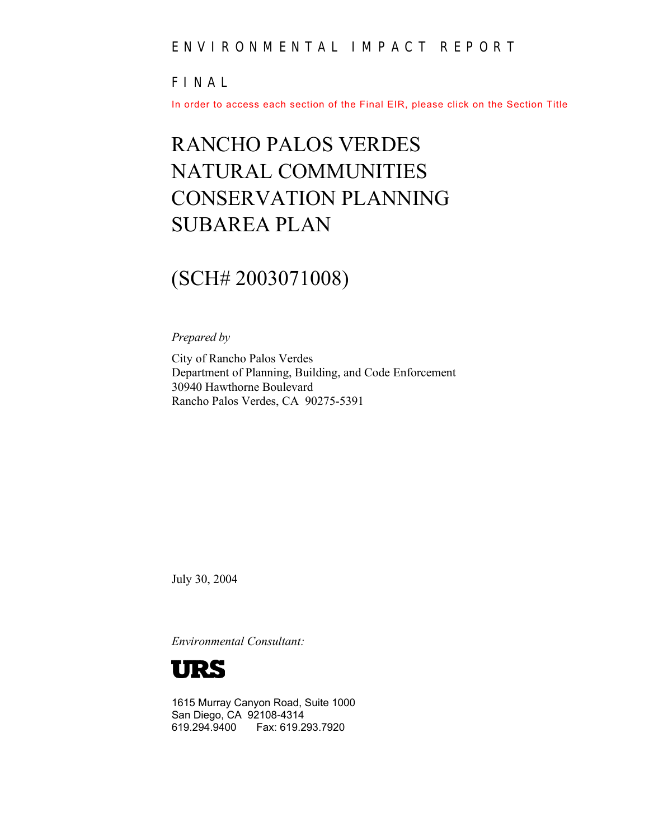#### ENVIRONMENTAL IMPACT REPORT

#### FINAL

In order to access each section of the Final EIR, please click on the Section Title

# RANCHO PALOS VERDES NATURAL COMMUNITIES CONSERVATION PLANNING SUBAREA PLAN

### (SCH# 2003071008)

*Prepared by* 

City of Rancho Palos Verdes Department of Planning, Building, and Code Enforcement 30940 Hawthorne Boulevard Rancho Palos Verdes, CA 90275-5391

July 30, 2004

*Environmental Consultant:* 



1615 Murray Canyon Road, Suite 1000 San Diego, CA 92108-4314 619.294.9400 Fax: 619.293.7920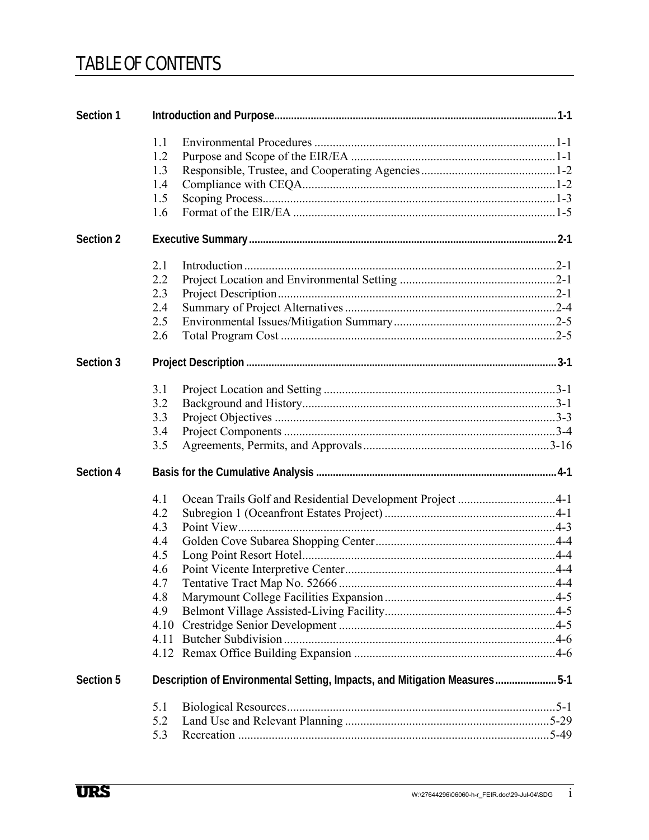### **TABLE OF CONTENTS**

| Section 1 |                                                                           |                                                           |  |  |
|-----------|---------------------------------------------------------------------------|-----------------------------------------------------------|--|--|
|           | 1.1                                                                       |                                                           |  |  |
|           | 1.2                                                                       |                                                           |  |  |
|           | 1.3                                                                       |                                                           |  |  |
|           | 1.4                                                                       |                                                           |  |  |
|           | 1.5                                                                       |                                                           |  |  |
|           | 1.6                                                                       |                                                           |  |  |
| Section 2 |                                                                           |                                                           |  |  |
|           | 2.1                                                                       |                                                           |  |  |
|           | 2.2                                                                       |                                                           |  |  |
|           | 2.3                                                                       |                                                           |  |  |
|           | 2.4                                                                       |                                                           |  |  |
|           | 2.5                                                                       |                                                           |  |  |
|           | 2.6                                                                       |                                                           |  |  |
| Section 3 |                                                                           |                                                           |  |  |
|           | 3.1                                                                       |                                                           |  |  |
|           | 3.2                                                                       |                                                           |  |  |
|           | 3.3                                                                       |                                                           |  |  |
|           | 3.4                                                                       |                                                           |  |  |
|           | 3.5                                                                       |                                                           |  |  |
| Section 4 |                                                                           |                                                           |  |  |
|           | 4.1                                                                       | Ocean Trails Golf and Residential Development Project 4-1 |  |  |
|           | 4.2                                                                       |                                                           |  |  |
|           | 4.3                                                                       |                                                           |  |  |
|           | 4.4                                                                       |                                                           |  |  |
|           | 4.5                                                                       |                                                           |  |  |
|           | 4.6                                                                       |                                                           |  |  |
|           | 4.7                                                                       |                                                           |  |  |
|           | 4.8                                                                       |                                                           |  |  |
|           | 4.9                                                                       |                                                           |  |  |
|           |                                                                           |                                                           |  |  |
|           | 4.11                                                                      |                                                           |  |  |
|           |                                                                           |                                                           |  |  |
| Section 5 | Description of Environmental Setting, Impacts, and Mitigation Measures5-1 |                                                           |  |  |
|           | 5.1                                                                       |                                                           |  |  |
|           | 5.2                                                                       |                                                           |  |  |
|           | 5.3                                                                       |                                                           |  |  |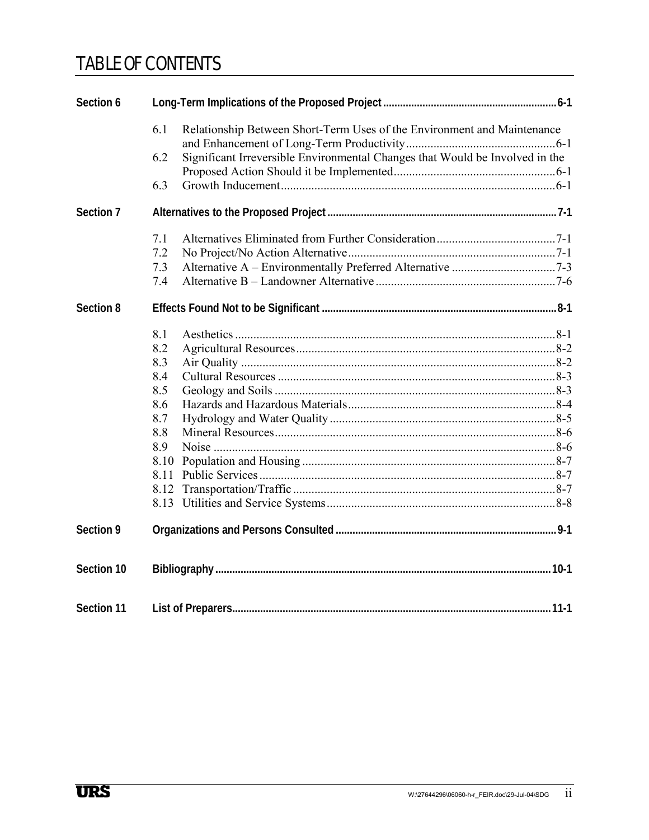## TABLE OF CONTENTS

| Section 6  |                                                                                     |  |  |  |
|------------|-------------------------------------------------------------------------------------|--|--|--|
|            | 6.1<br>Relationship Between Short-Term Uses of the Environment and Maintenance      |  |  |  |
|            | Significant Irreversible Environmental Changes that Would be Involved in the<br>6.2 |  |  |  |
|            |                                                                                     |  |  |  |
|            | 6.3                                                                                 |  |  |  |
| Section 7  |                                                                                     |  |  |  |
|            | 7.1                                                                                 |  |  |  |
|            | 7.2                                                                                 |  |  |  |
|            | 7.3                                                                                 |  |  |  |
|            | 7.4                                                                                 |  |  |  |
| Section 8  |                                                                                     |  |  |  |
|            | 8.1                                                                                 |  |  |  |
|            | 8.2                                                                                 |  |  |  |
|            | 8.3                                                                                 |  |  |  |
|            | 8.4                                                                                 |  |  |  |
|            | 8.5                                                                                 |  |  |  |
|            | 8.6                                                                                 |  |  |  |
|            | 8.7                                                                                 |  |  |  |
|            | 8.8                                                                                 |  |  |  |
|            | 8.9                                                                                 |  |  |  |
|            | 8.10                                                                                |  |  |  |
|            | 8.11                                                                                |  |  |  |
|            | 8.12                                                                                |  |  |  |
|            |                                                                                     |  |  |  |
| Section 9  |                                                                                     |  |  |  |
| Section 10 |                                                                                     |  |  |  |
| Section 11 |                                                                                     |  |  |  |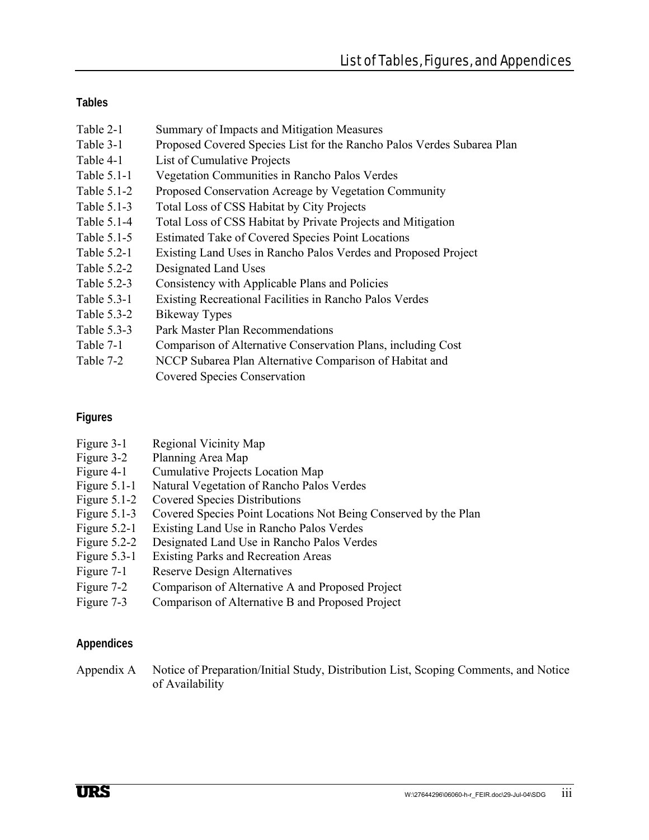### **Tables**

- Table 2-1 Summary of Impacts and Mitigation Measures
- Table 3-1 Proposed Covered Species List for the Rancho Palos Verdes Subarea Plan
- Table 4-1 List of Cumulative Projects
- Table 5.1-1 Vegetation Communities in Rancho Palos Verdes
- Table 5.1-2 Proposed Conservation Acreage by Vegetation Community
- Table 5.1-3 Total Loss of CSS Habitat by City Projects
- Table 5.1-4 Total Loss of CSS Habitat by Private Projects and Mitigation
- Table 5.1-5 Estimated Take of Covered Species Point Locations
- Table 5.2-1 Existing Land Uses in Rancho Palos Verdes and Proposed Project
- Table 5.2-2 Designated Land Uses
- Table 5.2-3 Consistency with Applicable Plans and Policies
- Table 5.3-1 Existing Recreational Facilities in Rancho Palos Verdes
- Table 5.3-2 Bikeway Types
- Table 5.3-3 Park Master Plan Recommendations
- Table 7-1 Comparison of Alternative Conservation Plans, including Cost
- Table 7-2 NCCP Subarea Plan Alternative Comparison of Habitat and Covered Species Conservation

### **Figures**

- Figure 3-1 Regional Vicinity Map
- Figure 3-2 Planning Area Map
- Figure 4-1 Cumulative Projects Location Map
- Figure 5.1-1 Natural Vegetation of Rancho Palos Verdes
- Figure 5.1-2 Covered Species Distributions
- Figure 5.1-3 Covered Species Point Locations Not Being Conserved by the Plan
- Figure 5.2-1 Existing Land Use in Rancho Palos Verdes
- Figure 5.2-2 Designated Land Use in Rancho Palos Verdes
- Figure 5.3-1 Existing Parks and Recreation Areas
- Figure 7-1 Reserve Design Alternatives
- Figure 7-2 Comparison of Alternative A and Proposed Project
- Figure 7-3 Comparison of Alternative B and Proposed Project

### **Appendices**

Appendix A Notice of Preparation/Initial Study, Distribution List, Scoping Comments, and Notice of Availability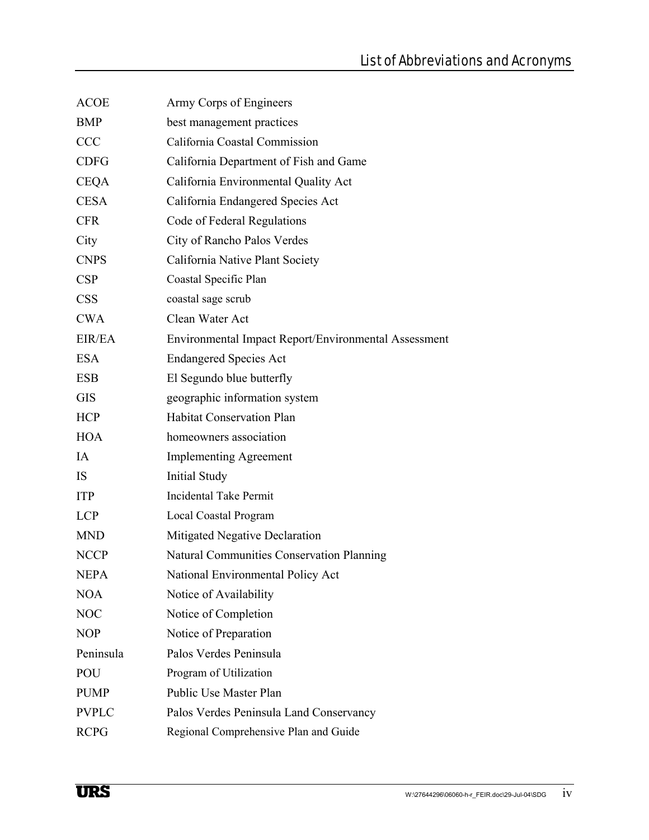| <b>ACOE</b>  | Army Corps of Engineers                              |
|--------------|------------------------------------------------------|
| <b>BMP</b>   | best management practices                            |
| <b>CCC</b>   | California Coastal Commission                        |
| <b>CDFG</b>  | California Department of Fish and Game               |
| <b>CEQA</b>  | California Environmental Quality Act                 |
| <b>CESA</b>  | California Endangered Species Act                    |
| <b>CFR</b>   | Code of Federal Regulations                          |
| City         | City of Rancho Palos Verdes                          |
| <b>CNPS</b>  | California Native Plant Society                      |
| <b>CSP</b>   | Coastal Specific Plan                                |
| <b>CSS</b>   | coastal sage scrub                                   |
| <b>CWA</b>   | Clean Water Act                                      |
| EIR/EA       | Environmental Impact Report/Environmental Assessment |
| <b>ESA</b>   | <b>Endangered Species Act</b>                        |
| <b>ESB</b>   | El Segundo blue butterfly                            |
| <b>GIS</b>   | geographic information system                        |
| <b>HCP</b>   | <b>Habitat Conservation Plan</b>                     |
| <b>HOA</b>   | homeowners association                               |
| IA           | <b>Implementing Agreement</b>                        |
| IS.          | <b>Initial Study</b>                                 |
| <b>ITP</b>   | <b>Incidental Take Permit</b>                        |
| <b>LCP</b>   | Local Coastal Program                                |
| <b>MND</b>   | Mitigated Negative Declaration                       |
| <b>NCCP</b>  | <b>Natural Communities Conservation Planning</b>     |
| <b>NEPA</b>  | National Environmental Policy Act                    |
| <b>NOA</b>   | Notice of Availability                               |
| <b>NOC</b>   | Notice of Completion                                 |
| <b>NOP</b>   | Notice of Preparation                                |
| Peninsula    | Palos Verdes Peninsula                               |
| POU          | Program of Utilization                               |
| <b>PUMP</b>  | Public Use Master Plan                               |
| <b>PVPLC</b> | Palos Verdes Peninsula Land Conservancy              |
| <b>RCPG</b>  | Regional Comprehensive Plan and Guide                |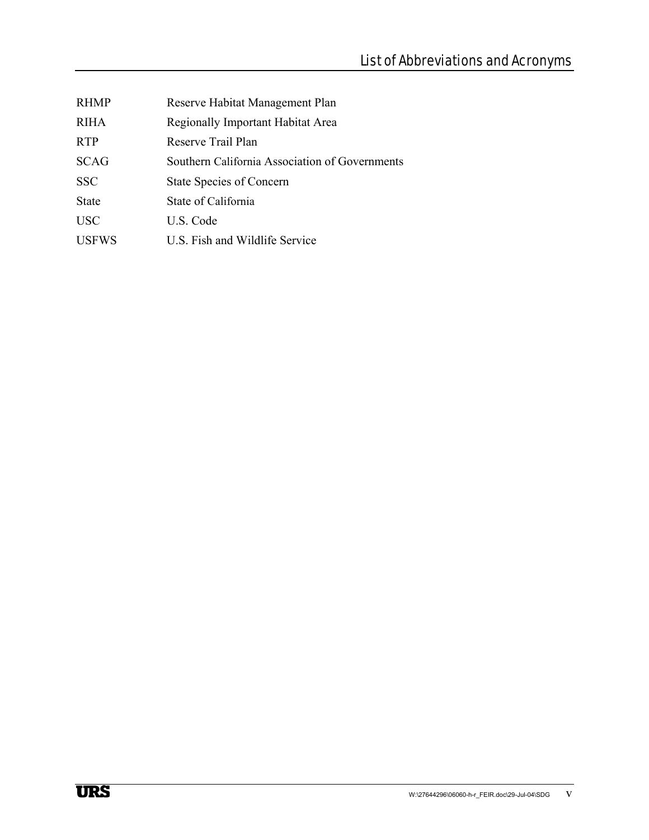| <b>RHMP</b>  | Reserve Habitat Management Plan                |
|--------------|------------------------------------------------|
| <b>RIHA</b>  | Regionally Important Habitat Area              |
| <b>RTP</b>   | Reserve Trail Plan                             |
| <b>SCAG</b>  | Southern California Association of Governments |
| <b>SSC</b>   | <b>State Species of Concern</b>                |
| <b>State</b> | State of California                            |
| <b>USC</b>   | U.S. Code                                      |
| <b>USFWS</b> | U.S. Fish and Wildlife Service                 |